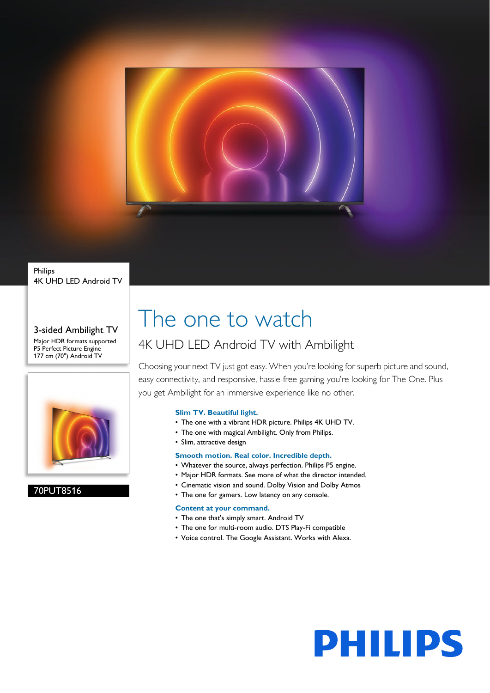

### Philips 4K UHD LED Android TV

### 3-sided Ambilight TV Major HDR formats supported P5 Perfect Picture Engine 177 cm (70") Android TV



### 70PUT8516

# The one to watch

### 4K UHD LED Android TV with Ambilight

Choosing your next TV just got easy. When you're looking for superb picture and sound, easy connectivity, and responsive, hassle-free gaming-you're looking for The One. Plus you get Ambilight for an immersive experience like no other.

### **Slim TV. Beautiful light.**

- The one with a vibrant HDR picture. Philips 4K UHD TV.
- The one with magical Ambilight. Only from Philips.
- Slim, attractive design

### **Smooth motion. Real color. Incredible depth.**

- Whatever the source, always perfection. Philips P5 engine.
- Major HDR formats. See more of what the director intended.
- Cinematic vision and sound. Dolby Vision and Dolby Atmos
- The one for gamers. Low latency on any console.

### **Content at your command.**

- The one that's simply smart. Android TV
- The one for multi-room audio. DTS Play-Fi compatible
- Voice control. The Google Assistant. Works with Alexa.

**PHILIPS**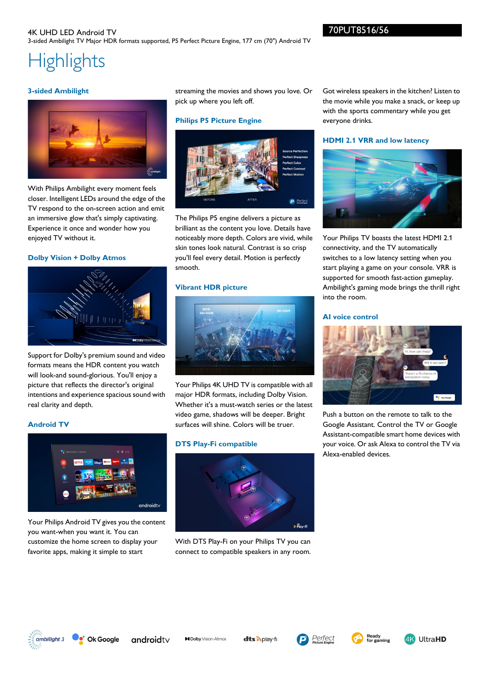## **Highlights**

### **3-sided Ambilight**



With Philips Ambilight every moment feels closer. Intelligent LEDs around the edge of the TV respond to the on-screen action and emit an immersive glow that's simply captivating. Experience it once and wonder how you enjoyed TV without it.

### **Dolby Vision + Dolby Atmos**



Support for Dolby's premium sound and video formats means the HDR content you watch will look-and sound-glorious. You'll enjoy a picture that reflects the director's original intentions and experience spacious sound with real clarity and depth.

### **Android TV**



Your Philips Android TV gives you the content you want-when you want it. You can customize the home screen to display your favorite apps, making it simple to start

streaming the movies and shows you love. Or pick up where you left off.

### **Philips P5 Picture Engine**



The Philips P5 engine delivers a picture as brilliant as the content you love. Details have noticeably more depth. Colors are vivid, while skin tones look natural. Contrast is so crisp you'll feel every detail. Motion is perfectly smooth.

### **Vibrant HDR picture**



Your Philips 4K UHD TV is compatible with all major HDR formats, including Dolby Vision. Whether it's a must-watch series or the latest video game, shadows will be deeper. Bright surfaces will shine. Colors will be truer.

### **DTS Play-Fi compatible**



With DTS Play-Fi on your Philips TV you can connect to compatible speakers in any room. Got wireless speakers in the kitchen? Listen to the movie while you make a snack, or keep up with the sports commentary while you get everyone drinks.

### **HDMI 2.1 VRR and low latency**



Your Philips TV boasts the latest HDMI 2.1 connectivity, and the TV automatically switches to a low latency setting when you start playing a game on your console. VRR is supported for smooth fast-action gameplay. Ambilight's gaming mode brings the thrill right into the room.

### **AI voice control**



Push a button on the remote to talk to the Google Assistant. Control the TV or Google Assistant-compatible smart home devices with your voice. Or ask Alexa to control the TV via Alexa-enabled devices.



Ok Google androidty

**MDolby** Vision-Atmos

dts Aplay-fi